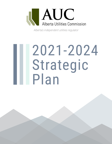

*Alberta's independent utilities regulator*

# 2021-2024 Strategic (Str.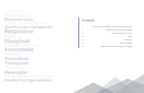## Modernizing New methods **Sharpened focus** Continuous improvement Assertive case management Responsive Agile **Disciplined** Streamlined processes Accountable Adaptive Innovative **Transparent** Trusted Measurable Top-tier efficiency North America One-third red tape reduction

## **Contents**

|                | <b>AUC Chair Carolyn D</b> |
|----------------|----------------------------|
|                |                            |
|                |                            |
| J              |                            |
| $\overline{2}$ |                            |
| 4              |                            |
| $\bar{5}$      | <b>Measu</b>               |
|                |                            |

ahl Rees on the AUC strategic plan pillars Efficiency and limiting regulatory burden Facilitating change in the sector 10 People Commission 2020-21 Highlights Measuring success: Chief Executive Bob Heggie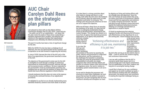

#### AUC resources:

- www.auc.ab.ca
- Annual reviews
- Current applications **Efficiency and reducing regulatory burden**

I am pleased to share with you the Alberta Utilities Commission Strategic Plan for 2021-2024. I hope that you – the public and all of our stakeholders – will agree that this plan meets the needs of these times in describing a regulatory approach that is prudent, cost-effective and sensitive to the regulatory burdens that stakeholders, ratepayers and, ultimately, the Alberta economy bear.

The past 12 months have been a time of significant change for the AUC.

While the COVID-19 crisis has been a challenge for all Albertans, the AUC has demonstrated terrific resiliency and co-operation as we look forward to supporting the recovery.

In June of 2020 I became the chair of the AUC and, at the time of my appointment, the government launched a review of the AUC.

The objective of the government's review was for the AUC to strengthen its work through a strategy of continuous improvement by streamlining processes, reducing red tape and increasing investor confidence. We have responded to the government's review by fundamentally examining and changing how we work with the ambition of being one of the fastest and most effective regulators in North America.

I should emphasize that this does not come at the expense of ensuring the continued fairness of our adjudicative procedures.

I'm delighted to say that we are already implementing many identified initiatives, however more work needs to be done.

It is clear there is a strong conviction about what needs to change and there is a real energy, both within the AUC and in the feedback we've received, about the opportunity to make regulation work better for everyone. This strategic plan discusses the initiatives we have set out to support this objective.

issues that arise during a time of industry change.

In my view, the AUC can and should have a role in facilitating

While we will keep a sharp focus on ensuring the timeliness of our work, it is clear that the sector is undergoing fundamental change, driven by decarbonization, technological and market changes. This change has caused us to move from an agency that reactively processes applications, to an agency that proactively confronts complex allowing us to leverage specialization as applications or projects require. I'll finish by emphasizing that reducing regulatory burden and improving AUC efficiency and effectiveness are key objectives for us in the coming year. I know firsthand from my time in the private sector

As we work to develop the processes and structures to meet future challenges, we must ensure that we have the ability to succeed in that pursuit. Our plan recognizes that we must continue to develop and strengthen our team

by aligning our hiring and training efforts with our strategic plan and objectives. Since the

- AUC can't foresee all issues before they arise, our teams must look at circumstances, identify issues and find new approaches and solutions
- in a rapidly changing environment. We have had good success working in teams that move beyond the traditional hierarchical structure,

the evolution of the sector by assisting the public, industry and government to understand the alternatives, and the implications of the challenges the transition is presenting. This does not usurp the government's clear responsibility to set policy, but simply recognizes that critical informed debate and analysis on industry matters often arise through the regulatory arena. Our work in relation to facilitating system transformation is set out in this plan. 2008 – I want to see the AUC achieve ongoing and continuous improvement. I can say with confidence that the AUC is moving to tackle these issues, but it is a cultural change and it will require commitment from all stakeholders in the short, medium and long-term to accomplish lasting change. I would like to thank you for your confidence

the frustrations and costs that result when requirements are unclear, inconsistent or inefficient. This experience helped lead me to return to

the AUC after serving as its first interim chair in

and support as we work to achieve our goals. I look forward to working with AUC colleagues, government, the energy sector and consumers in meeting the important challenges facing us.

**Carolyn Dahl Rees**

# **AUC Chair Carolyn Dahl Rees on the strategic plan pillars**

### *"Achieving effectiveness and efficiency is job one, maintaining it is job two."*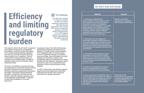1. Continuing to implement the recommendations from the Report of AUC Procedures and Processes Rev Committee to improve the regulator efficiency of rate proceedings. For example, explore greater use of existing and alternative dispute resolution approa including advanced rulings, mediate settlements, and consideration of re required to AUC rates-related rules.

3. Conducting an annual industry im assessment, as part of the AUC Anr Report Card, to evaluate the cost be and effectiveness of our processes, track continuous improvement through the business cycles.

4. Enhance and standardize the prod protocols and procedures for running effective and efficient virtual procee

2. Developing new, more aggressive performance standards and process rate-related applications to reduce f timelines and align with the Commist objective to be a North American be for operational and regulatory effici effectiveness.

|                                                                                                  | <b>Outcome</b>                                                                                                                                  |  |
|--------------------------------------------------------------------------------------------------|-------------------------------------------------------------------------------------------------------------------------------------------------|--|
| of the<br>iew<br>xample,<br>ew<br>aches,<br>d<br>visions                                         | Material, measurable<br>improvement in regulatory<br>effectiveness and efficiency.                                                              |  |
| es for:<br>ull-cyc <u>le</u><br>sion's<br>nchmark<br>ency and                                    |                                                                                                                                                 |  |
| pact<br>ual<br>nefits<br>and to<br>igh future                                                    |                                                                                                                                                 |  |
| ess,<br>g<br>:dings.                                                                             |                                                                                                                                                 |  |
| Rules on<br><u>: Rules on</u><br>oromote<br>$\overline{\mathsf{n}}$ in<br>$\overline{\text{10}}$ | <b>Effectively use the</b><br>Commission's cost authority<br>to improve participation and<br>encourage efficient, issue<br>focused proceedings. |  |

5. Review and revise AUC Rule 009: *Rules on Local Intervener Costs and Rule 022 Costs in Utility Rate Proceedings to* consistent and effective participation AUC proceedings and provide clarity participants.



**The AUC must continue to review its activities to reduce or remove regulatory requirements that have become burdensome. How can the AUC ensure its regulatory processes are clear, timely and appropriate, so as not to impose unnecessary regulatory burden, while ensuring the public interest is protected?**

The manner in which the AUC itself is organized and conducts its processes and regulatory proceedings is critical to ensure that industry is not unnecessarily burdened by regulatory time and cost, and that consumers bear the lowest prudent cost of regulation. The AUC is aware that its decisions have effects on investment and competitiveness, and that its regulation needs to be cost-effective, timely and proportionate.

The AUC is committed to ensuring cycle time and duplication are minimized. Decision-making processes should be clear and designed to eliminate unnecessary applications, procedures and delays. Information required should be provided in a responsive, focused way and limited to what the regulator requires to carry out its legislated responsibilities. Timeliness in utility rate proceedings is of primary importance.

In particular, many of the AUC's effectiveness and efficiency initiatives will follow from its adoption of virtually all the recommendations of an independent panel of outside experts on how to implement changes to streamline rates proceedings. Recommendations included adopting an overarching, assertive case management approach, a preference for written hearings with oral argument, sharpening criteria around the scope of cross examination, and adopting an issues-focused decision writing template.

The AUC's effectiveness and efficiency agenda supports provincial requirements and policy statements that the AUC show continuous improvement in regulatory practices.

#### **Objective**

# **Efficiency and limiting regulatory burden**

#### **The AUC's work will include:**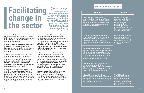#### $\left( 0 \right)$ **The challenge:**

**The energy sector is transitioning and facing ever more complex issues that concern an extended group of stakeholders. As the regulatory body responsible for regulating the natural gas and electricity sectors, what is the AUC's role in helping to understand the alternatives and implications of the inherent challenges the transition presents?**

The gas and electric systems have undergone significant change over the last two decades. Early changes were driven by deregulation and, more recently, by both decarbonization and technological innovation.

With those changes, the traditional boundaries in the energy system are breaking down, between markets and regulation, and between distribution and transmission boundaries, among others.

This has forced changes to our approach to regulation. With a mandate inherited from the days when the critical regulatory functions predominantly consisted of economic and technical regulation, the AUC will redefine its approach and its work to ensure that the inter-linked system evolves to deliver efficient outcomes considered as a whole.

In addition to maintaining the health of the regulated sector and providing effective regulation of energy infrastructure projects, we must align utility and consumer interests through well-designed incentives, systems and business models, and promote a level playing field between incumbents and new entrants, and ensure conditions for competition exist.

2. Collaborating with the Alberta Ele System Operator (AESO), the Depart of Energy and the Market Surveilland Administrator on a robust regulatory framework for electrical energy storal Alberta.

3. Standardize (i) connection practic processes among Alberta electric di utilities to ensure there are no barrie entry for distributed energy resource  $(ii)$  terms and conditions of service by Alberta's distribution utilities to entitled customers receive consistent treatm

4. Evaluating the development of un distribution planning and reliability requirements to better coordinate distribution and transmission planning and ensure system optimization and control costs.

For example, in the AUC Distribution System Inquiry Report published earlier this year, we identified a need for improved coordination across the electric transmission and distribution grids in both planning and operating the system. Similarly, we identified that markets will invest in new technologies that have the potential to provide system benefits if participants face cost-reflective price signals and related incentives.

As the energy system evolves, the additions to the gas and electric transmission and distribution systems to accommodate new generation, energy management and storage solutions will have implications for consumers. To meet this challenge, the AUC must consider rate designs that promote the economic and efficient use of that infrastructure while recognizing shifts in the use of generation, transmission and distribution resources.

We also recognize that coordination among the AUC, the Alberta Electric System Operator, utility companies, customers and other stakeholders is required to facilitate progress, and that responsibility for the overall policy framework in these areas rests with government.

# **Facilitating change in the sector**

1. Assessing the experience with performance-based regulation in Alb to date, to determine if performance regulation should be continued and whether the design can be improved ensure efficient outcomes.

|                                                                           | <b>Outcome</b>                                                                                                                                                                                                                          |
|---------------------------------------------------------------------------|-----------------------------------------------------------------------------------------------------------------------------------------------------------------------------------------------------------------------------------------|
| erta<br>-based<br><u>if so, </u><br>to                                    | Understanding of the<br>successes and limitations<br>of the experience with<br>performance-based<br>regulation to date,<br>determining whether to<br>proceed with a further PBR<br>framework and improving<br>any future PBR framework. |
| ctric<br>ment<br>æ<br>age in                                              | <b>Clear and comprehensive</b><br>requirements that create<br>certainty and consistency<br>for market participants and<br>promote efficient market<br>outcomes.                                                                         |
| es and<br>stribution<br>rs to<br><u>s and</u><br>equired<br>nsure<br>ent. |                                                                                                                                                                                                                                         |
| iform<br>stribution<br>re overall<br>its.                                 |                                                                                                                                                                                                                                         |
| rmation<br>egarding<br>and                                                | The AESO tariff creates<br>efficient incentives for<br>transmission connected<br>customers, including<br>improved price signals for<br>the incremental costs and<br>benefits their use creates.                                         |

5. Establishing an interdisciplinary, cross-divisional team to provide info in AESO stakeholder consultations regarding the tariff for system access service, anticipate market implications.

#### **The AUC's work will include:**

**Objective**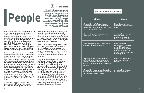Alberta's energy and utility sectors are entering an era of transition. As competitive forces and technological advancements begin to dramatically reshape this industry, this transition has implications for all stakeholders, including the regulator. Throughout this transition, the AUC will continue to play a central role. Delivering on its mandate in an industry on the cusp of a technological transformation will require the AUC to broaden its core competency areas beyond traditional expertise in engineering, accounting and law.

Looking ahead, it is paramount that the AUC engage people with the skills, experience and education required to understand and analyze how emerging technologies will affect the energy grids, consumer behaviour, the operation of emerging competitive markets, the financial assessment of investments in new technology and the analysis of data generated by advanced information technology. Also, the AUC must consider and incorporate new approaches to how we work, implementing key effectiveness, efficiency and regulatory burden reduction initiatives. The AUC's enforcement role in the changing utility sector as well as its evolving role in consultation with First Nations and Métis groups will also require specialists in these areas.

To meet these demands, the AUC must transform its workforce by hiring people with the necessary technology and rate-design

2. Encouraging, tracking, recognizin rewarding staff innovation.

backgrounds while maintaining and enhancing our existing specialist skills and technical capabilities. It must also instill and support a culture of continuous learning and innovation to give staff the opportunity to acquire new skills to tackle the challenges created by industry and consumer adoption of new technology.

> 3. Formalizing and evolving our succession and leadership development plan.

> 4. Evolving the AUC value propositio staff, which includes fair compensat benefits, pension and the ability to a work-life balance and other human programs.

Learning and innovation are top priorities at the AUC. The AUC recognizes that innovation must come from all quarters in our organization, and that we must value ideas and intellectual curiosity from junior staff to senior executives. The AUC's commitment to innovation will invite and encourage employees to share their perspectives.

> 5. Modernizing our workplace, allow increased collaboration and implement of efficient approaches to our work.

Attraction and retention of skilled staff, both for core work and the work brought on by technological change, shifting societal expectations and how we evolve better approaches to how we work, will be essential if the AUC is to meet its statutory responsibility of regulating the utility sector in the public interest. This is especially true at a time when new and existing skills and competencies are in high demand in the energy and utility sectors. As the AUC adapts its workforce to the changing environment, it is acutely aware that failure to attract and retain a skilled, diverse and motivated workforce could lead to a talent or skills gap between the regulator and the regulated at the expense of the public.

|                                      | <b>Outcome</b>                                                                                                                                                                                 |
|--------------------------------------|------------------------------------------------------------------------------------------------------------------------------------------------------------------------------------------------|
| by<br>$p$ to<br>ep pace              | Modernized employee<br>competency and educational<br>plans.                                                                                                                                    |
| g and                                | A more agile and innovative<br>regulator striving for<br>continuous improvement in<br>the way we do our work.                                                                                  |
| cession                              | <b>Identification and</b><br>development of a diverse<br>group of future leaders<br>that possess the required<br>technical and leadership<br>skills to succeed the current<br>leadership team. |
| n for<br>tion,<br>chieve<br>esources | <b>Modern and flexible human</b><br>resource programs and<br>benefits.                                                                                                                         |
| ing for<br>entation                  | A more collaborative and<br>efficient organization.                                                                                                                                            |



# **People People People People People People People People People People People People People People People People People People People People People People People People Peopl**

**The AUC will play a central role as competitive forces and technological advancements continue to reshape the utilities sector. The AUC's most important challenge will be to develop, attract and retain a diverse group of people with the skills, experience and education required to meet these demands, and to evolve more innovative and adaptive work approaches. But how?** 

#### **The AUC's work will include:**

1. Modernizing the AUC's workforce developing a human capital road ma transform the skillset required to keep with an evolving utilities sector.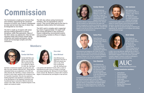

#### **Chair**

#### **Carolyn Dahl Rees**

Carolyn Dahl Rees was appointed chair of the AUC on June 24,2020 after rejoining the AUC 25, 2020. Ms. Dahl Rees

as a member on March



had been a Commission member, an acting chair, and later vice-chair, between 2008 and 2012. Along with her substantial history as an adjudicator at the AUC and other tribunals, Ms. Dahl Rees, a lawyer, worked most recently in senior legal, regulatory and compliance roles for TransAlta Corporation. She also has experience drafting legislation and regulations, and played a role in the development of the regulatory framework and foundational laws to restructure Alberta's electricity system in the 1990s. She has completed degrees in law, english and medieval studies.

### **Vice-chair**

#### **Anne Michaud**

Anne Michaud was appointed to the AUC in 2008 and named vicechair in July, 2018. Prior to joining the AUC, Ms. Michaud was

a tax partner with Deloitte & Touche, after a career in international tax with a focus on energy, oil and gas and energy marketing. Ms. Michaud is a former federal Crown counsel. Ms. Michaud is a lawyer with a master's degree in international law, and degrees in law and arts.



The Commission is made up of not more than nine members appointed by the Lieutenant-Governor-in-Council, one of whom is designated as chair and not more than two of whom may be designated as vice-chairs.

The AUC is made up of experts with senior decision-making experience in various disciplines, rather than generalists. Many of the AUC's duties are adjudicative. Most of AUC regulation deals with investor-owned utility companies and market participants, and the issues are increasingly complex and often contentious.

The AUC also utilizes acting Commission members, who are appointed by order-incouncil. They can be called upon by the chair to adjudicate matters before the Commission.

The AUC's work is complex and is supported by a team of approximately 132 expert staff with varying disciplines in law, economics, finance, engineering, environmental science and accounting, located at offices in Calgary and Edmonton.



# **Commission**

#### **Carolyn Hutniak**

Carolyn Hutniak was appointed to the AUC on February 15, 2017, after more than 12 years as hearing chair and appeals commissioner on the Appeals Commission for

#### **Neil Jamieson**

the Alberta Workers' Compensation Board. Ms. Hutniak has also worked as an administrative law expert and tribunal management consultant to disciplinary, regulatory and rights tribunals throughout Alberta. Ms. Hutniak holds degrees in law and arts and has a background in labour, employment and administrative law. in infrastructure, public works, environment and public utilities for nearly 30 years, across three provinces and territories. He joined the AUC from the City of St. Albert, where he was general manager of planning and engineering. Mr. Jamieson is a civil engineer and certified local government manager.

Neil Jamieson was appointed to the AUC on January 1, 2011. Prior to joining the AUC, Mr. Jamieson worked as a senior professional engineer and manager

#### **Cairns Price**

Cairns Price was appointed to the AUC on January 4, 2021. Prior to joining the AUC, Mr. Price worked as senior legal counsel for MEG Energy Corp. specializing in regulatory,

environmental and Indigenous law. Earlier, he was in similar roles with TransAlta Corporation and Nexen Inc. and has appeared before various provincial and federal regulatory tribunals. Mr. Price has completed degrees in law, civil law and commerce, all with distinction.

#### **Kristi Sebalj**

Kristi Sebalj was appointed to the AUC on July 9, 2018. Prior to joining the AUC, Ms. Sebalj was the registrar for the Ontario Energy Board, an organization she joined

in 2005. Prior to the OEB, Ms. Sebalj was the co-chair of McMillan Binch LLP's energy group. Ms. Sebalj is a lawyer with bachelor's degrees in law and science, and holds a master's degree in science, as well as certificates in adjudication and marine environmental law.

Alberta Utilities Commission

#### **Vera Slawinski**



Vera Slawinski was appointed to the AUC in January 2021, rejoining the organization where she had previously served as legal counsel to the AUC between April 2008 and March 2013.

Immediately prior to rejoining the AUC in 2021, Ms. Slawinski had been legal counsel for ENMAX Corporation, focused on regulatory matters, and before that gave advice on interpretation and drafting utilities legislation to the Alberta Department of Energy. Ms. Slawinski has completed degrees in law, fine arts and mathematics.

#### **Acting Commission members:**

- j'Amey Bevan
- Patrick Brennan
- Merete Heggelund
- Vincent Kostesky
- Doug Larder
- Koren Lightning-Earle
- Rick Robinson
- Bohdan (Don) Romaniuk
- John Whaley

# **Members:**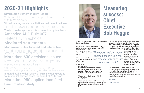31 billing deferral program applications processed within seven days

## **Distribution System Inquiry Report**

Outside experts recommendations accepted to streamline rates applications

Virtual hearings and consultations maintain timeliness Virtual landowner engagement for info sessions Trusted traveller approach cuts process time by two-thirds

2018-2022 performance-based regulation (PBR) issues resolved providing greater certainty for utilities and consumers

## Modernized rules focused and interactive

More than 320 decisions and dispositions issued on expedited basis

## Mediated settlements Materiality thresholds Amended AUC Rule 007

Benchmarking study Initiated stakeholder review of PBR, including setting foundational service costs for period 2023 forward More than 980 applications filed



The progress we have made in reducing regulatory requirements as required by the Alberta government's red tape reduction plan.

# More than 630 decisions issued

# **Measuring success: Chief Executive Bob Heggie**

Annual Report Card to

our stakeholders that website.

Those commitments of our work:

our stakenoluers that *"The report card and impact* direct costs and, as a will be published on our "The report card and impact direct costs and, as a arise from three aspects *and practical way to ensure assessment give us a real we stay on track."*

• Our legacy performance measures that include, for example, performance standards based on the number of business days required to

complete various application types.

The AUC is committed to being a performancebased organization. We will report the progress we have made in delivering on our commitments in our AUC Last year, for the first time, the AUC attempted to quantify the benefits of its initiatives it has taken to reduce regulatory burden and improve efficiency. Our goal is to identify the monetary benefits resulting from our actions. Our initial

• The planned initiatives set out in this strategic plan.

approach was focused on our own internal next step, we will be soliciting cost savings realized by utilities as a result of our efficiency improvements through the AUC Industry Impact Assessment tool.

The published AUC Annual Report Card provides clear, transparent and comprehensive information allowing stakeholders to better understand and assess our progress in delivering on our commitments and meeting our organizational objectives.

**Bob Heggie**

**Chief Executive**

# **2020-21 Highlights**